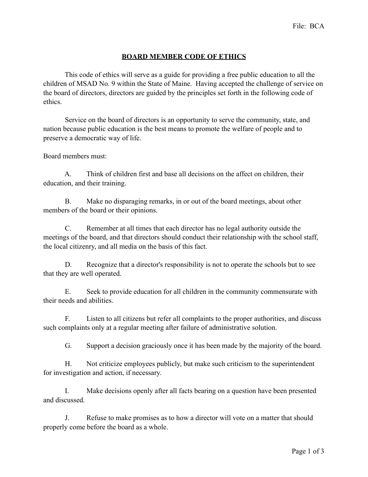## **BOARD MEMBER CODE OF ETHICS**

 This code of ethics will serve as a guide for providing a free public education to all the children of MSAD No. 9 within the State of Maine. Having accepted the challenge of service on the board of directors, directors are guided by the principles set forth in the following code of ethics.

 Service on the board of directors is an opportunity to serve the community, state, and nation because public education is the best means to promote the welfare of people and to preserve a democratic way of life.

Board members must:

 A. Think of children first and base all decisions on the affect on children, their education, and their training.

 B. Make no disparaging remarks, in or out of the board meetings, about other members of the board or their opinions.

 C. Remember at all times that each director has no legal authority outside the meetings of the board, and that directors should conduct their relationship with the school staff, the local citizenry, and all media on the basis of this fact.

D. Recognize that a director's responsibility is not to operate the schools but to see that they are well operated.

 E. Seek to provide education for all children in the community commensurate with their needs and abilities.

 F. Listen to all citizens but refer all complaints to the proper authorities, and discuss such complaints only at a regular meeting after failure of administrative solution.

G. Support a decision graciously once it has been made by the majority of the board.

 H. Not criticize employees publicly, but make such criticism to the superintendent for investigation and action, if necessary.

 I. Make decisions openly after all facts bearing on a question have been presented and discussed.

 J. Refuse to make promises as to how a director will vote on a matter that should properly come before the board as a whole.